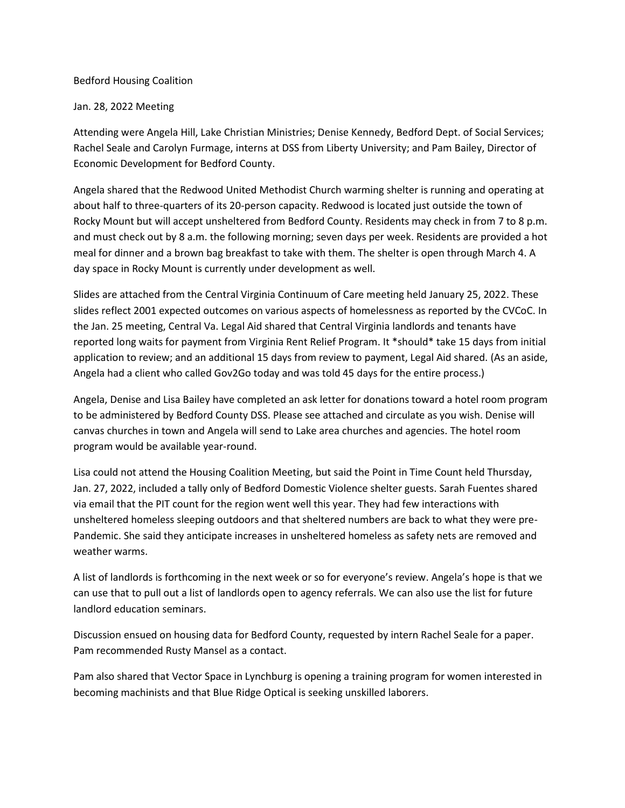## Bedford Housing Coalition

## Jan. 28, 2022 Meeting

Attending were Angela Hill, Lake Christian Ministries; Denise Kennedy, Bedford Dept. of Social Services; Rachel Seale and Carolyn Furmage, interns at DSS from Liberty University; and Pam Bailey, Director of Economic Development for Bedford County.

Angela shared that the Redwood United Methodist Church warming shelter is running and operating at about half to three-quarters of its 20-person capacity. Redwood is located just outside the town of Rocky Mount but will accept unsheltered from Bedford County. Residents may check in from 7 to 8 p.m. and must check out by 8 a.m. the following morning; seven days per week. Residents are provided a hot meal for dinner and a brown bag breakfast to take with them. The shelter is open through March 4. A day space in Rocky Mount is currently under development as well.

Slides are attached from the Central Virginia Continuum of Care meeting held January 25, 2022. These slides reflect 2001 expected outcomes on various aspects of homelessness as reported by the CVCoC. In the Jan. 25 meeting, Central Va. Legal Aid shared that Central Virginia landlords and tenants have reported long waits for payment from Virginia Rent Relief Program. It \*should\* take 15 days from initial application to review; and an additional 15 days from review to payment, Legal Aid shared. (As an aside, Angela had a client who called Gov2Go today and was told 45 days for the entire process.)

Angela, Denise and Lisa Bailey have completed an ask letter for donations toward a hotel room program to be administered by Bedford County DSS. Please see attached and circulate as you wish. Denise will canvas churches in town and Angela will send to Lake area churches and agencies. The hotel room program would be available year-round.

Lisa could not attend the Housing Coalition Meeting, but said the Point in Time Count held Thursday, Jan. 27, 2022, included a tally only of Bedford Domestic Violence shelter guests. Sarah Fuentes shared via email that the PIT count for the region went well this year. They had few interactions with unsheltered homeless sleeping outdoors and that sheltered numbers are back to what they were pre-Pandemic. She said they anticipate increases in unsheltered homeless as safety nets are removed and weather warms.

A list of landlords is forthcoming in the next week or so for everyone's review. Angela's hope is that we can use that to pull out a list of landlords open to agency referrals. We can also use the list for future landlord education seminars.

Discussion ensued on housing data for Bedford County, requested by intern Rachel Seale for a paper. Pam recommended Rusty Mansel as a contact.

Pam also shared that Vector Space in Lynchburg is opening a training program for women interested in becoming machinists and that Blue Ridge Optical is seeking unskilled laborers.